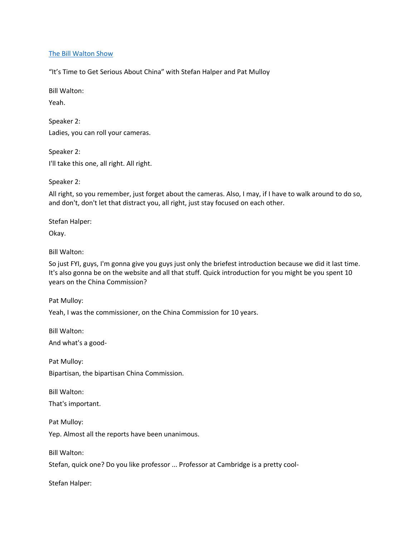# [The Bill Walton Show](https://thebillwaltonshow.com/)

"It's Time to Get Serious About China" with Stefan Halper and Pat Mulloy

Bill Walton:

Yeah.

Speaker 2: Ladies, you can roll your cameras.

Speaker 2: I'll take this one, all right. All right.

Speaker 2:

All right, so you remember, just forget about the cameras. Also, I may, if I have to walk around to do so, and don't, don't let that distract you, all right, just stay focused on each other.

Stefan Halper:

Okay.

Bill Walton:

So just FYI, guys, I'm gonna give you guys just only the briefest introduction because we did it last time. It's also gonna be on the website and all that stuff. Quick introduction for you might be you spent 10 years on the China Commission?

Pat Mulloy:

Yeah, I was the commissioner, on the China Commission for 10 years.

Bill Walton:

And what's a good-

Pat Mulloy: Bipartisan, the bipartisan China Commission.

Bill Walton:

That's important.

Pat Mulloy:

Yep. Almost all the reports have been unanimous.

Bill Walton:

Stefan, quick one? Do you like professor ... Professor at Cambridge is a pretty cool-

Stefan Halper: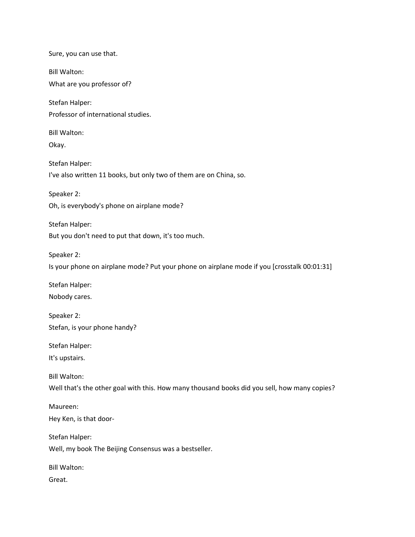Sure, you can use that. Bill Walton: What are you professor of? Stefan Halper: Professor of international studies. Bill Walton: Okay. Stefan Halper: I've also written 11 books, but only two of them are on China, so. Speaker 2: Oh, is everybody's phone on airplane mode? Stefan Halper: But you don't need to put that down, it's too much. Speaker 2: Is your phone on airplane mode? Put your phone on airplane mode if you [crosstalk 00:01:31] Stefan Halper: Nobody cares. Speaker 2: Stefan, is your phone handy? Stefan Halper: It's upstairs. Bill Walton: Well that's the other goal with this. How many thousand books did you sell, how many copies? Maureen: Hey Ken, is that door-Stefan Halper: Well, my book The Beijing Consensus was a bestseller. Bill Walton: Great.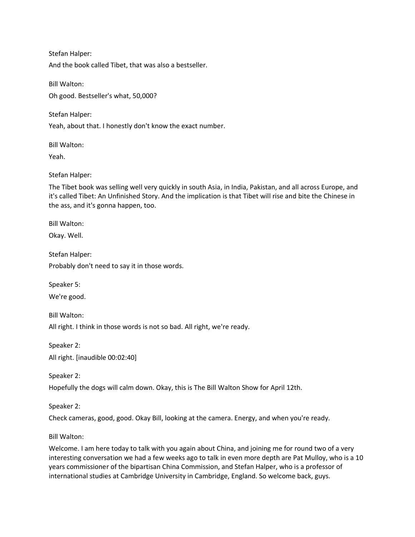Stefan Halper: And the book called Tibet, that was also a bestseller.

Bill Walton: Oh good. Bestseller's what, 50,000?

Stefan Halper:

Yeah, about that. I honestly don't know the exact number.

Bill Walton:

Yeah.

Stefan Halper:

The Tibet book was selling well very quickly in south Asia, in India, Pakistan, and all across Europe, and it's called Tibet: An Unfinished Story. And the implication is that Tibet will rise and bite the Chinese in the ass, and it's gonna happen, too.

Bill Walton:

Okay. Well.

Stefan Halper:

Probably don't need to say it in those words.

Speaker 5:

We're good.

Bill Walton: All right. I think in those words is not so bad. All right, we're ready.

Speaker 2: All right. [inaudible 00:02:40]

Speaker 2:

Hopefully the dogs will calm down. Okay, this is The Bill Walton Show for April 12th.

Speaker 2:

Check cameras, good, good. Okay Bill, looking at the camera. Energy, and when you're ready.

Bill Walton:

Welcome. I am here today to talk with you again about China, and joining me for round two of a very interesting conversation we had a few weeks ago to talk in even more depth are Pat Mulloy, who is a 10 years commissioner of the bipartisan China Commission, and Stefan Halper, who is a professor of international studies at Cambridge University in Cambridge, England. So welcome back, guys.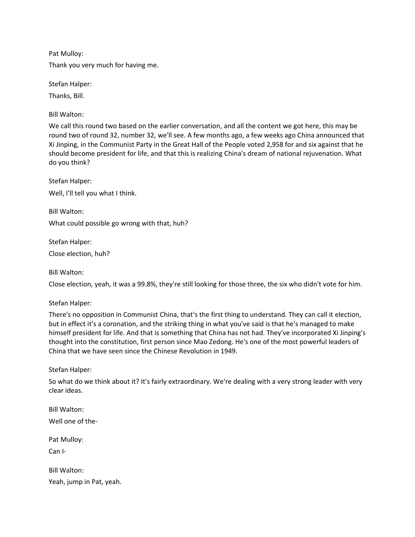Pat Mulloy:

Thank you very much for having me.

Stefan Halper:

Thanks, Bill.

Bill Walton:

We call this round two based on the earlier conversation, and all the content we got here, this may be round two of round 32, number 32, we'll see. A few months ago, a few weeks ago China announced that Xi Jinping, in the Communist Party in the Great Hall of the People voted 2,958 for and six against that he should become president for life, and that this is realizing China's dream of national rejuvenation. What do you think?

Stefan Halper: Well, I'll tell you what I think.

Bill Walton: What could possible go wrong with that, huh?

Stefan Halper: Close election, huh?

Bill Walton:

Close election, yeah, it was a 99.8%, they're still looking for those three, the six who didn't vote for him.

Stefan Halper:

There's no opposition in Communist China, that's the first thing to understand. They can call it election, but in effect it's a coronation, and the striking thing in what you've said is that he's managed to make himself president for life. And that is something that China has not had. They've incorporated Xi Jinping's thought into the constitution, first person since Mao Zedong. He's one of the most powerful leaders of China that we have seen since the Chinese Revolution in 1949.

Stefan Halper:

So what do we think about it? It's fairly extraordinary. We're dealing with a very strong leader with very clear ideas.

Bill Walton: Well one of the-Pat Mulloy: Can I-

Bill Walton: Yeah, jump in Pat, yeah.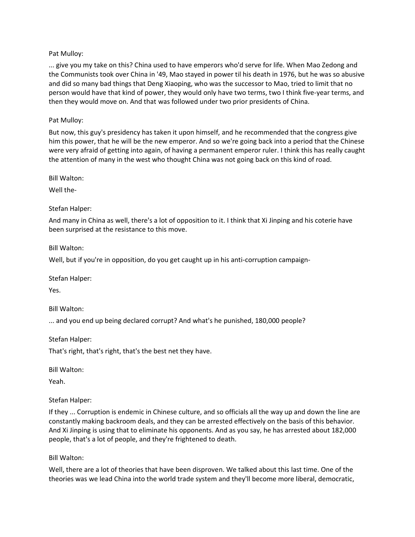# Pat Mulloy:

... give you my take on this? China used to have emperors who'd serve for life. When Mao Zedong and the Communists took over China in '49, Mao stayed in power til his death in 1976, but he was so abusive and did so many bad things that Deng Xiaoping, who was the successor to Mao, tried to limit that no person would have that kind of power, they would only have two terms, two I think five-year terms, and then they would move on. And that was followed under two prior presidents of China.

#### Pat Mulloy:

But now, this guy's presidency has taken it upon himself, and he recommended that the congress give him this power, that he will be the new emperor. And so we're going back into a period that the Chinese were very afraid of getting into again, of having a permanent emperor ruler. I think this has really caught the attention of many in the west who thought China was not going back on this kind of road.

Bill Walton:

Well the-

#### Stefan Halper:

And many in China as well, there's a lot of opposition to it. I think that Xi Jinping and his coterie have been surprised at the resistance to this move.

Bill Walton:

Well, but if you're in opposition, do you get caught up in his anti-corruption campaign-

Stefan Halper:

Yes.

Bill Walton:

... and you end up being declared corrupt? And what's he punished, 180,000 people?

Stefan Halper: That's right, that's right, that's the best net they have.

Bill Walton:

Yeah.

Stefan Halper:

If they ... Corruption is endemic in Chinese culture, and so officials all the way up and down the line are constantly making backroom deals, and they can be arrested effectively on the basis of this behavior. And Xi Jinping is using that to eliminate his opponents. And as you say, he has arrested about 182,000 people, that's a lot of people, and they're frightened to death.

Bill Walton:

Well, there are a lot of theories that have been disproven. We talked about this last time. One of the theories was we lead China into the world trade system and they'll become more liberal, democratic,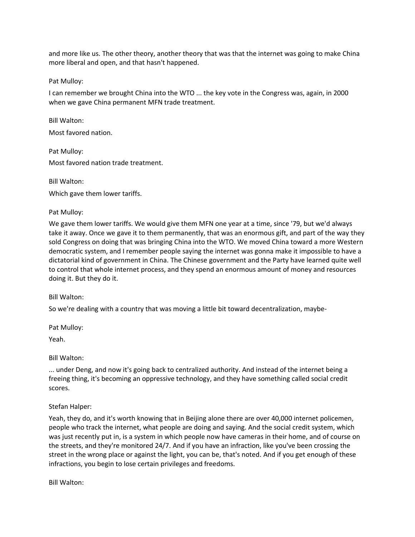and more like us. The other theory, another theory that was that the internet was going to make China more liberal and open, and that hasn't happened.

Pat Mulloy:

I can remember we brought China into the WTO ... the key vote in the Congress was, again, in 2000 when we gave China permanent MFN trade treatment.

Bill Walton: Most favored nation.

Pat Mulloy: Most favored nation trade treatment.

Bill Walton:

Which gave them lower tariffs.

Pat Mulloy:

We gave them lower tariffs. We would give them MFN one year at a time, since '79, but we'd always take it away. Once we gave it to them permanently, that was an enormous gift, and part of the way they sold Congress on doing that was bringing China into the WTO. We moved China toward a more Western democratic system, and I remember people saying the internet was gonna make it impossible to have a dictatorial kind of government in China. The Chinese government and the Party have learned quite well to control that whole internet process, and they spend an enormous amount of money and resources doing it. But they do it.

Bill Walton:

So we're dealing with a country that was moving a little bit toward decentralization, maybe-

Pat Mulloy:

Yeah.

Bill Walton:

... under Deng, and now it's going back to centralized authority. And instead of the internet being a freeing thing, it's becoming an oppressive technology, and they have something called social credit scores.

Stefan Halper:

Yeah, they do, and it's worth knowing that in Beijing alone there are over 40,000 internet policemen, people who track the internet, what people are doing and saying. And the social credit system, which was just recently put in, is a system in which people now have cameras in their home, and of course on the streets, and they're monitored 24/7. And if you have an infraction, like you've been crossing the street in the wrong place or against the light, you can be, that's noted. And if you get enough of these infractions, you begin to lose certain privileges and freedoms.

Bill Walton: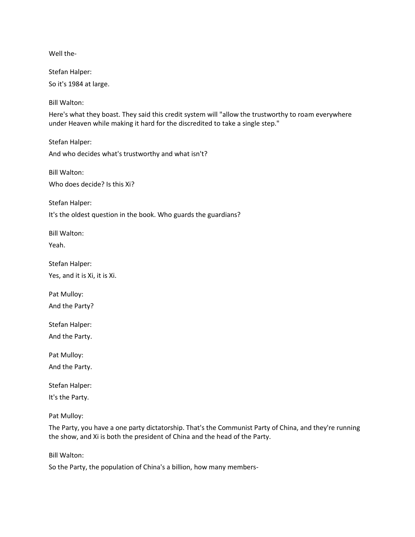Well the-

Stefan Halper:

So it's 1984 at large.

Bill Walton:

Here's what they boast. They said this credit system will "allow the trustworthy to roam everywhere under Heaven while making it hard for the discredited to take a single step."

Stefan Halper: And who decides what's trustworthy and what isn't?

Bill Walton: Who does decide? Is this Xi?

Stefan Halper:

It's the oldest question in the book. Who guards the guardians?

Bill Walton:

Yeah.

Stefan Halper: Yes, and it is Xi, it is Xi.

Pat Mulloy:

And the Party?

Stefan Halper:

And the Party.

Pat Mulloy:

And the Party.

Stefan Halper:

It's the Party.

Pat Mulloy:

The Party, you have a one party dictatorship. That's the Communist Party of China, and they're running the show, and Xi is both the president of China and the head of the Party.

Bill Walton:

So the Party, the population of China's a billion, how many members-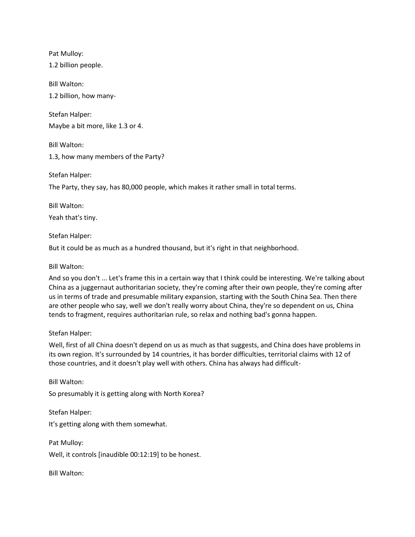Pat Mulloy:

1.2 billion people.

Bill Walton: 1.2 billion, how many-

Stefan Halper: Maybe a bit more, like 1.3 or 4.

Bill Walton:

1.3, how many members of the Party?

Stefan Halper:

The Party, they say, has 80,000 people, which makes it rather small in total terms.

Bill Walton: Yeah that's tiny.

Stefan Halper:

But it could be as much as a hundred thousand, but it's right in that neighborhood.

# Bill Walton:

And so you don't ... Let's frame this in a certain way that I think could be interesting. We're talking about China as a juggernaut authoritarian society, they're coming after their own people, they're coming after us in terms of trade and presumable military expansion, starting with the South China Sea. Then there are other people who say, well we don't really worry about China, they're so dependent on us, China tends to fragment, requires authoritarian rule, so relax and nothing bad's gonna happen.

# Stefan Halper:

Well, first of all China doesn't depend on us as much as that suggests, and China does have problems in its own region. It's surrounded by 14 countries, it has border difficulties, territorial claims with 12 of those countries, and it doesn't play well with others. China has always had difficult-

Bill Walton: So presumably it is getting along with North Korea?

Stefan Halper: It's getting along with them somewhat.

Pat Mulloy: Well, it controls [inaudible 00:12:19] to be honest.

Bill Walton: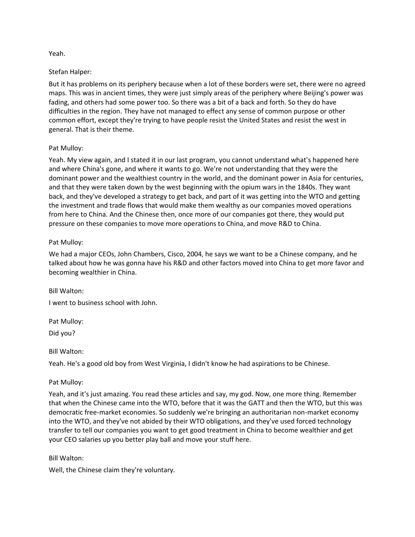# Yeah.

# Stefan Halper:

But it has problems on its periphery because when a lot of these borders were set, there were no agreed maps. This was in ancient times, they were just simply areas of the periphery where Beijing's power was fading, and others had some power too. So there was a bit of a back and forth. So they do have difficulties in the region. They have not managed to effect any sense of common purpose or other common effort, except they're trying to have people resist the United States and resist the west in general. That is their theme.

# Pat Mulloy:

Yeah. My view again, and I stated it in our last program, you cannot understand what's happened here and where China's gone, and where it wants to go. We're not understanding that they were the dominant power and the wealthiest country in the world, and the dominant power in Asia for centuries, and that they were taken down by the west beginning with the opium wars in the 1840s. They want back, and they've developed a strategy to get back, and part of it was getting into the WTO and getting the investment and trade flows that would make them wealthy as our companies moved operations from here to China. And the Chinese then, once more of our companies got there, they would put pressure on these companies to move more operations to China, and move R&D to China.

# Pat Mulloy:

We had a major CEOs, John Chambers, Cisco, 2004, he says we want to be a Chinese company, and he talked about how he was gonna have his R&D and other factors moved into China to get more favor and becoming wealthier in China.

Bill Walton:

I went to business school with John.

Pat Mulloy:

Did you?

Bill Walton:

Yeah. He's a good old boy from West Virginia, I didn't know he had aspirations to be Chinese.

# Pat Mulloy:

Yeah, and it's just amazing. You read these articles and say, my god. Now, one more thing. Remember that when the Chinese came into the WTO, before that it was the GATT and then the WTO, but this was democratic free-market economies. So suddenly we're bringing an authoritarian non-market economy into the WTO, and they've not abided by their WTO obligations, and they've used forced technology transfer to tell our companies you want to get good treatment in China to become wealthier and get your CEO salaries up you better play ball and move your stuff here.

# Bill Walton:

Well, the Chinese claim they're voluntary.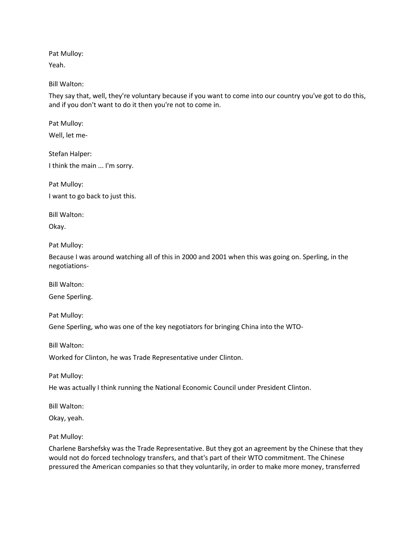Pat Mulloy:

Yeah.

# Bill Walton:

They say that, well, they're voluntary because if you want to come into our country you've got to do this, and if you don't want to do it then you're not to come in.

Pat Mulloy:

Well, let me-

Stefan Halper: I think the main ... I'm sorry.

Pat Mulloy:

I want to go back to just this.

Bill Walton:

Okay.

Pat Mulloy:

Because I was around watching all of this in 2000 and 2001 when this was going on. Sperling, in the negotiations-

Bill Walton:

Gene Sperling.

Pat Mulloy:

Gene Sperling, who was one of the key negotiators for bringing China into the WTO-

Bill Walton:

Worked for Clinton, he was Trade Representative under Clinton.

Pat Mulloy:

He was actually I think running the National Economic Council under President Clinton.

Bill Walton:

Okay, yeah.

Pat Mulloy:

Charlene Barshefsky was the Trade Representative. But they got an agreement by the Chinese that they would not do forced technology transfers, and that's part of their WTO commitment. The Chinese pressured the American companies so that they voluntarily, in order to make more money, transferred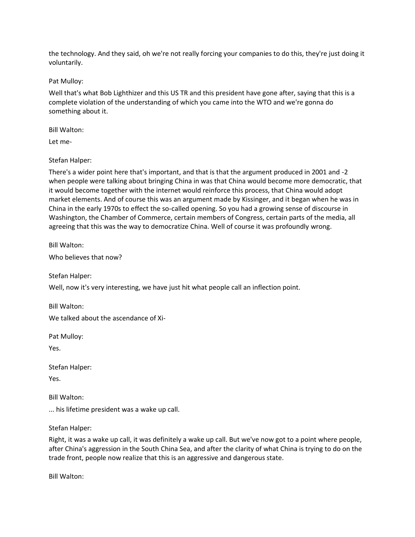the technology. And they said, oh we're not really forcing your companies to do this, they're just doing it voluntarily.

Pat Mulloy:

Well that's what Bob Lighthizer and this US TR and this president have gone after, saying that this is a complete violation of the understanding of which you came into the WTO and we're gonna do something about it.

Bill Walton:

Let me-

Stefan Halper:

There's a wider point here that's important, and that is that the argument produced in 2001 and -2 when people were talking about bringing China in was that China would become more democratic, that it would become together with the internet would reinforce this process, that China would adopt market elements. And of course this was an argument made by Kissinger, and it began when he was in China in the early 1970s to effect the so-called opening. So you had a growing sense of discourse in Washington, the Chamber of Commerce, certain members of Congress, certain parts of the media, all agreeing that this was the way to democratize China. Well of course it was profoundly wrong.

Bill Walton:

Who believes that now?

Stefan Halper:

Well, now it's very interesting, we have just hit what people call an inflection point.

Bill Walton: We talked about the ascendance of Xi-

Pat Mulloy:

Yes.

Stefan Halper:

Yes.

Bill Walton:

... his lifetime president was a wake up call.

Stefan Halper:

Right, it was a wake up call, it was definitely a wake up call. But we've now got to a point where people, after China's aggression in the South China Sea, and after the clarity of what China is trying to do on the trade front, people now realize that this is an aggressive and dangerous state.

Bill Walton: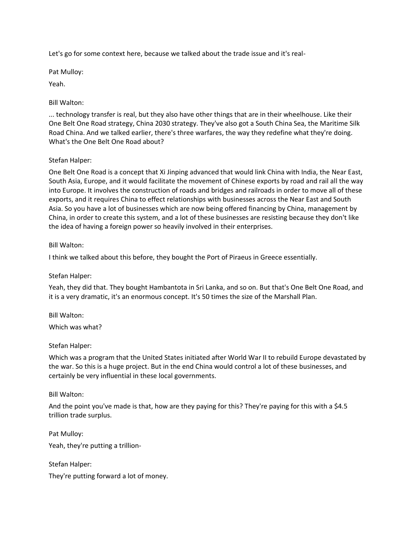Let's go for some context here, because we talked about the trade issue and it's real-

Pat Mulloy:

Yeah.

Bill Walton:

... technology transfer is real, but they also have other things that are in their wheelhouse. Like their One Belt One Road strategy, China 2030 strategy. They've also got a South China Sea, the Maritime Silk Road China. And we talked earlier, there's three warfares, the way they redefine what they're doing. What's the One Belt One Road about?

# Stefan Halper:

One Belt One Road is a concept that Xi Jinping advanced that would link China with India, the Near East, South Asia, Europe, and it would facilitate the movement of Chinese exports by road and rail all the way into Europe. It involves the construction of roads and bridges and railroads in order to move all of these exports, and it requires China to effect relationships with businesses across the Near East and South Asia. So you have a lot of businesses which are now being offered financing by China, management by China, in order to create this system, and a lot of these businesses are resisting because they don't like the idea of having a foreign power so heavily involved in their enterprises.

# Bill Walton:

I think we talked about this before, they bought the Port of Piraeus in Greece essentially.

# Stefan Halper:

Yeah, they did that. They bought Hambantota in Sri Lanka, and so on. But that's One Belt One Road, and it is a very dramatic, it's an enormous concept. It's 50 times the size of the Marshall Plan.

Bill Walton: Which was what?

# Stefan Halper:

Which was a program that the United States initiated after World War II to rebuild Europe devastated by the war. So this is a huge project. But in the end China would control a lot of these businesses, and certainly be very influential in these local governments.

# Bill Walton:

And the point you've made is that, how are they paying for this? They're paying for this with a \$4.5 trillion trade surplus.

Pat Mulloy: Yeah, they're putting a trillion-

Stefan Halper: They're putting forward a lot of money.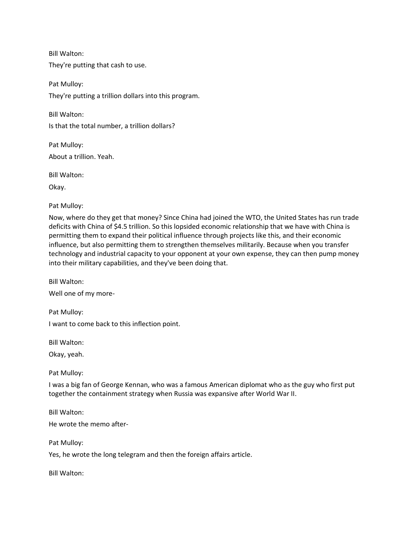Bill Walton: They're putting that cash to use.

Pat Mulloy: They're putting a trillion dollars into this program.

Bill Walton: Is that the total number, a trillion dollars?

Pat Mulloy: About a trillion. Yeah.

Bill Walton:

Okay.

Pat Mulloy:

Now, where do they get that money? Since China had joined the WTO, the United States has run trade deficits with China of \$4.5 trillion. So this lopsided economic relationship that we have with China is permitting them to expand their political influence through projects like this, and their economic influence, but also permitting them to strengthen themselves militarily. Because when you transfer technology and industrial capacity to your opponent at your own expense, they can then pump money into their military capabilities, and they've been doing that.

Bill Walton:

Well one of my more-

Pat Mulloy:

I want to come back to this inflection point.

Bill Walton:

Okay, yeah.

Pat Mulloy:

I was a big fan of George Kennan, who was a famous American diplomat who as the guy who first put together the containment strategy when Russia was expansive after World War II.

Bill Walton:

He wrote the memo after-

Pat Mulloy:

Yes, he wrote the long telegram and then the foreign affairs article.

Bill Walton: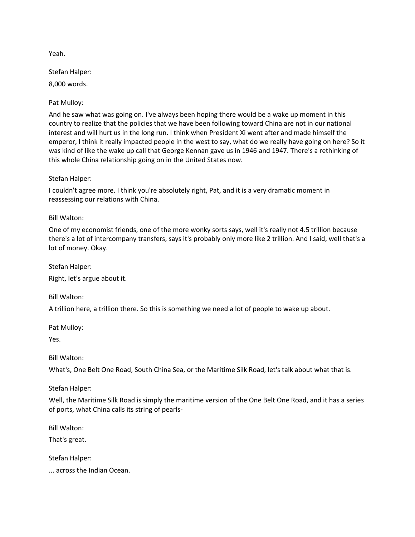Yeah.

Stefan Halper:

8,000 words.

Pat Mulloy:

And he saw what was going on. I've always been hoping there would be a wake up moment in this country to realize that the policies that we have been following toward China are not in our national interest and will hurt us in the long run. I think when President Xi went after and made himself the emperor, I think it really impacted people in the west to say, what do we really have going on here? So it was kind of like the wake up call that George Kennan gave us in 1946 and 1947. There's a rethinking of this whole China relationship going on in the United States now.

Stefan Halper:

I couldn't agree more. I think you're absolutely right, Pat, and it is a very dramatic moment in reassessing our relations with China.

Bill Walton:

One of my economist friends, one of the more wonky sorts says, well it's really not 4.5 trillion because there's a lot of intercompany transfers, says it's probably only more like 2 trillion. And I said, well that's a lot of money. Okay.

Stefan Halper:

Right, let's argue about it.

Bill Walton:

A trillion here, a trillion there. So this is something we need a lot of people to wake up about.

Pat Mulloy:

Yes.

Bill Walton:

What's, One Belt One Road, South China Sea, or the Maritime Silk Road, let's talk about what that is.

Stefan Halper:

Well, the Maritime Silk Road is simply the maritime version of the One Belt One Road, and it has a series of ports, what China calls its string of pearls-

Bill Walton:

That's great.

Stefan Halper:

... across the Indian Ocean.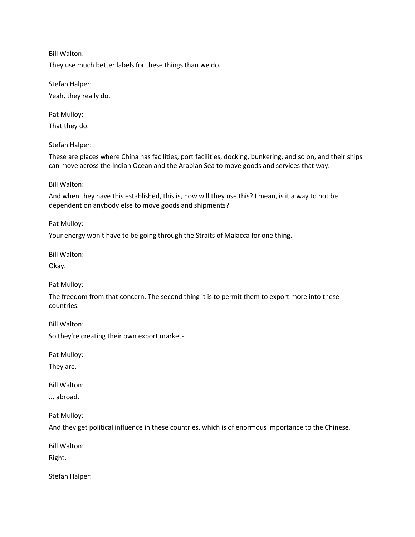Bill Walton:

They use much better labels for these things than we do.

Stefan Halper:

Yeah, they really do.

Pat Mulloy:

That they do.

Stefan Halper:

These are places where China has facilities, port facilities, docking, bunkering, and so on, and their ships can move across the Indian Ocean and the Arabian Sea to move goods and services that way.

# Bill Walton:

And when they have this established, this is, how will they use this? I mean, is it a way to not be dependent on anybody else to move goods and shipments?

Pat Mulloy:

Your energy won't have to be going through the Straits of Malacca for one thing.

Bill Walton:

Okay.

Pat Mulloy:

The freedom from that concern. The second thing it is to permit them to export more into these countries.

Bill Walton:

So they're creating their own export market-

Pat Mulloy:

They are.

Bill Walton:

... abroad.

Pat Mulloy:

And they get political influence in these countries, which is of enormous importance to the Chinese.

Bill Walton:

Right.

Stefan Halper: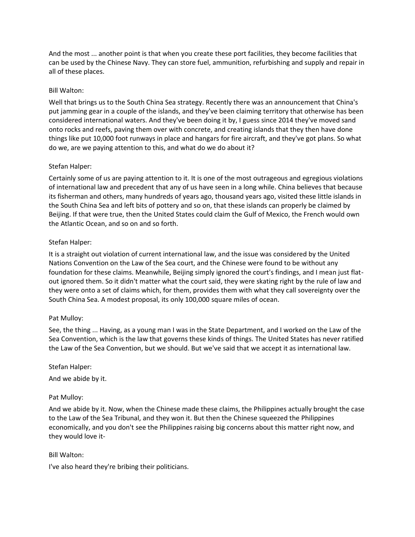And the most ... another point is that when you create these port facilities, they become facilities that can be used by the Chinese Navy. They can store fuel, ammunition, refurbishing and supply and repair in all of these places.

# Bill Walton:

Well that brings us to the South China Sea strategy. Recently there was an announcement that China's put jamming gear in a couple of the islands, and they've been claiming territory that otherwise has been considered international waters. And they've been doing it by, I guess since 2014 they've moved sand onto rocks and reefs, paving them over with concrete, and creating islands that they then have done things like put 10,000 foot runways in place and hangars for fire aircraft, and they've got plans. So what do we, are we paying attention to this, and what do we do about it?

# Stefan Halper:

Certainly some of us are paying attention to it. It is one of the most outrageous and egregious violations of international law and precedent that any of us have seen in a long while. China believes that because its fisherman and others, many hundreds of years ago, thousand years ago, visited these little islands in the South China Sea and left bits of pottery and so on, that these islands can properly be claimed by Beijing. If that were true, then the United States could claim the Gulf of Mexico, the French would own the Atlantic Ocean, and so on and so forth.

# Stefan Halper:

It is a straight out violation of current international law, and the issue was considered by the United Nations Convention on the Law of the Sea court, and the Chinese were found to be without any foundation for these claims. Meanwhile, Beijing simply ignored the court's findings, and I mean just flatout ignored them. So it didn't matter what the court said, they were skating right by the rule of law and they were onto a set of claims which, for them, provides them with what they call sovereignty over the South China Sea. A modest proposal, its only 100,000 square miles of ocean.

# Pat Mulloy:

See, the thing ... Having, as a young man I was in the State Department, and I worked on the Law of the Sea Convention, which is the law that governs these kinds of things. The United States has never ratified the Law of the Sea Convention, but we should. But we've said that we accept it as international law.

# Stefan Halper:

And we abide by it.

# Pat Mulloy:

And we abide by it. Now, when the Chinese made these claims, the Philippines actually brought the case to the Law of the Sea Tribunal, and they won it. But then the Chinese squeezed the Philippines economically, and you don't see the Philippines raising big concerns about this matter right now, and they would love it-

# Bill Walton:

I've also heard they're bribing their politicians.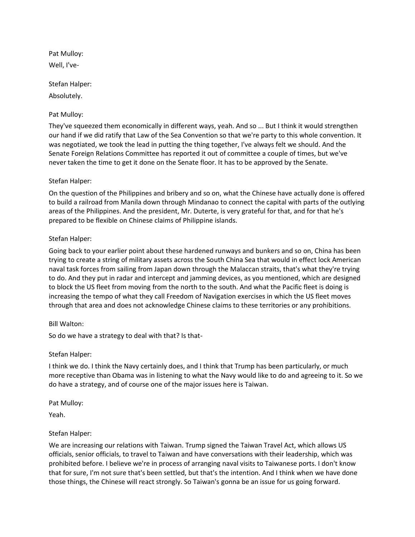Pat Mulloy: Well, I've-

Stefan Halper:

Absolutely.

# Pat Mulloy:

They've squeezed them economically in different ways, yeah. And so ... But I think it would strengthen our hand if we did ratify that Law of the Sea Convention so that we're party to this whole convention. It was negotiated, we took the lead in putting the thing together, I've always felt we should. And the Senate Foreign Relations Committee has reported it out of committee a couple of times, but we've never taken the time to get it done on the Senate floor. It has to be approved by the Senate.

# Stefan Halper:

On the question of the Philippines and bribery and so on, what the Chinese have actually done is offered to build a railroad from Manila down through Mindanao to connect the capital with parts of the outlying areas of the Philippines. And the president, Mr. Duterte, is very grateful for that, and for that he's prepared to be flexible on Chinese claims of Philippine islands.

# Stefan Halper:

Going back to your earlier point about these hardened runways and bunkers and so on, China has been trying to create a string of military assets across the South China Sea that would in effect lock American naval task forces from sailing from Japan down through the Malaccan straits, that's what they're trying to do. And they put in radar and intercept and jamming devices, as you mentioned, which are designed to block the US fleet from moving from the north to the south. And what the Pacific fleet is doing is increasing the tempo of what they call Freedom of Navigation exercises in which the US fleet moves through that area and does not acknowledge Chinese claims to these territories or any prohibitions.

# Bill Walton:

So do we have a strategy to deal with that? Is that-

# Stefan Halper:

I think we do. I think the Navy certainly does, and I think that Trump has been particularly, or much more receptive than Obama was in listening to what the Navy would like to do and agreeing to it. So we do have a strategy, and of course one of the major issues here is Taiwan.

Pat Mulloy:

Yeah.

# Stefan Halper:

We are increasing our relations with Taiwan. Trump signed the Taiwan Travel Act, which allows US officials, senior officials, to travel to Taiwan and have conversations with their leadership, which was prohibited before. I believe we're in process of arranging naval visits to Taiwanese ports. I don't know that for sure, I'm not sure that's been settled, but that's the intention. And I think when we have done those things, the Chinese will react strongly. So Taiwan's gonna be an issue for us going forward.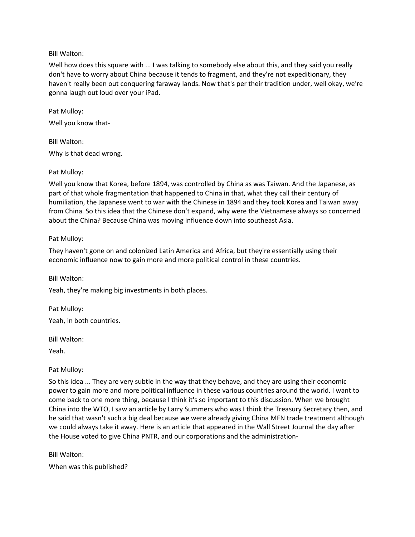# Bill Walton:

Well how does this square with ... I was talking to somebody else about this, and they said you really don't have to worry about China because it tends to fragment, and they're not expeditionary, they haven't really been out conquering faraway lands. Now that's per their tradition under, well okay, we're gonna laugh out loud over your iPad.

Pat Mulloy: Well you know that-

Bill Walton: Why is that dead wrong.

#### Pat Mulloy:

Well you know that Korea, before 1894, was controlled by China as was Taiwan. And the Japanese, as part of that whole fragmentation that happened to China in that, what they call their century of humiliation, the Japanese went to war with the Chinese in 1894 and they took Korea and Taiwan away from China. So this idea that the Chinese don't expand, why were the Vietnamese always so concerned about the China? Because China was moving influence down into southeast Asia.

# Pat Mulloy:

They haven't gone on and colonized Latin America and Africa, but they're essentially using their economic influence now to gain more and more political control in these countries.

Bill Walton:

Yeah, they're making big investments in both places.

Pat Mulloy: Yeah, in both countries.

Bill Walton:

Yeah.

# Pat Mulloy:

So this idea ... They are very subtle in the way that they behave, and they are using their economic power to gain more and more political influence in these various countries around the world. I want to come back to one more thing, because I think it's so important to this discussion. When we brought China into the WTO, I saw an article by Larry Summers who was I think the Treasury Secretary then, and he said that wasn't such a big deal because we were already giving China MFN trade treatment although we could always take it away. Here is an article that appeared in the Wall Street Journal the day after the House voted to give China PNTR, and our corporations and the administration-

# Bill Walton:

When was this published?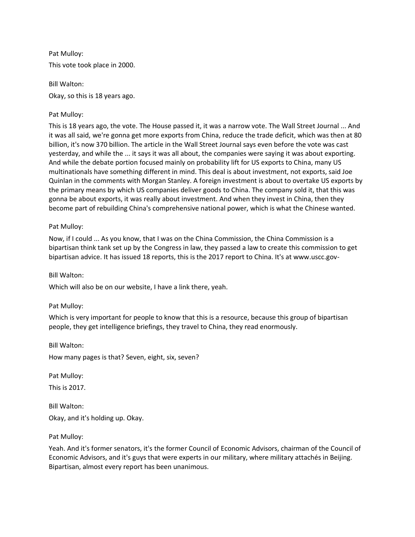Pat Mulloy: This vote took place in 2000.

Bill Walton: Okay, so this is 18 years ago.

# Pat Mulloy:

This is 18 years ago, the vote. The House passed it, it was a narrow vote. The Wall Street Journal ... And it was all said, we're gonna get more exports from China, reduce the trade deficit, which was then at 80 billion, it's now 370 billion. The article in the Wall Street Journal says even before the vote was cast yesterday, and while the ... it says it was all about, the companies were saying it was about exporting. And while the debate portion focused mainly on probability lift for US exports to China, many US multinationals have something different in mind. This deal is about investment, not exports, said Joe Quinlan in the comments with Morgan Stanley. A foreign investment is about to overtake US exports by the primary means by which US companies deliver goods to China. The company sold it, that this was gonna be about exports, it was really about investment. And when they invest in China, then they become part of rebuilding China's comprehensive national power, which is what the Chinese wanted.

# Pat Mulloy:

Now, if I could ... As you know, that I was on the China Commission, the China Commission is a bipartisan think tank set up by the Congress in law, they passed a law to create this commission to get bipartisan advice. It has issued 18 reports, this is the 2017 report to China. It's at www.uscc.gov-

# Bill Walton:

Which will also be on our website, I have a link there, yeah.

# Pat Mulloy:

Which is very important for people to know that this is a resource, because this group of bipartisan people, they get intelligence briefings, they travel to China, they read enormously.

Bill Walton:

How many pages is that? Seven, eight, six, seven?

Pat Mulloy:

This is 2017.

Bill Walton: Okay, and it's holding up. Okay.

# Pat Mulloy:

Yeah. And it's former senators, it's the former Council of Economic Advisors, chairman of the Council of Economic Advisors, and it's guys that were experts in our military, where military attachés in Beijing. Bipartisan, almost every report has been unanimous.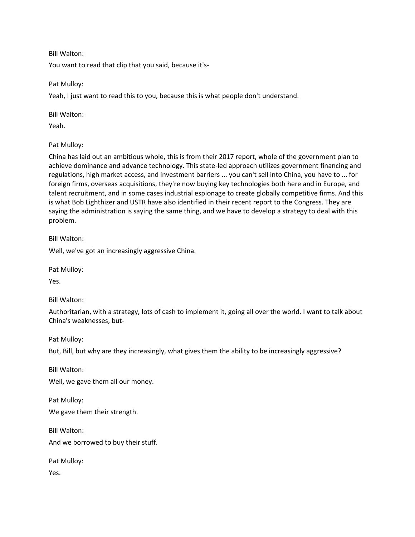Bill Walton:

You want to read that clip that you said, because it's-

Pat Mulloy:

Yeah, I just want to read this to you, because this is what people don't understand.

Bill Walton:

Yeah.

Pat Mulloy:

China has laid out an ambitious whole, this is from their 2017 report, whole of the government plan to achieve dominance and advance technology. This state-led approach utilizes government financing and regulations, high market access, and investment barriers ... you can't sell into China, you have to ... for foreign firms, overseas acquisitions, they're now buying key technologies both here and in Europe, and talent recruitment, and in some cases industrial espionage to create globally competitive firms. And this is what Bob Lighthizer and USTR have also identified in their recent report to the Congress. They are saying the administration is saying the same thing, and we have to develop a strategy to deal with this problem.

Bill Walton:

Well, we've got an increasingly aggressive China.

Pat Mulloy:

Yes.

Bill Walton:

Authoritarian, with a strategy, lots of cash to implement it, going all over the world. I want to talk about China's weaknesses, but-

Pat Mulloy:

But, Bill, but why are they increasingly, what gives them the ability to be increasingly aggressive?

Bill Walton:

Well, we gave them all our money.

Pat Mulloy: We gave them their strength.

Bill Walton: And we borrowed to buy their stuff.

Pat Mulloy:

Yes.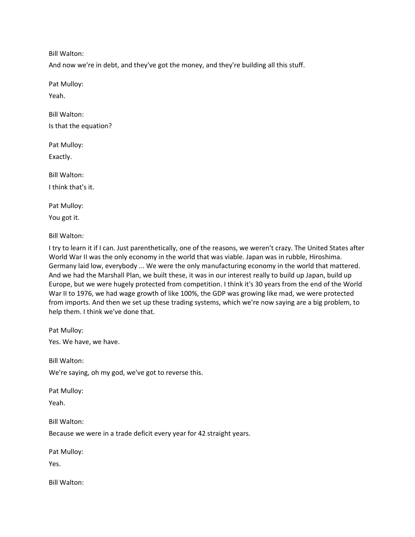Bill Walton:

And now we're in debt, and they've got the money, and they're building all this stuff.

Pat Mulloy:

Yeah.

Bill Walton: Is that the equation?

Pat Mulloy:

Exactly.

Bill Walton: I think that's it.

Pat Mulloy:

You got it.

Bill Walton:

I try to learn it if I can. Just parenthetically, one of the reasons, we weren't crazy. The United States after World War II was the only economy in the world that was viable. Japan was in rubble, Hiroshima. Germany laid low, everybody ... We were the only manufacturing economy in the world that mattered. And we had the Marshall Plan, we built these, it was in our interest really to build up Japan, build up Europe, but we were hugely protected from competition. I think it's 30 years from the end of the World War II to 1976, we had wage growth of like 100%, the GDP was growing like mad, we were protected from imports. And then we set up these trading systems, which we're now saying are a big problem, to help them. I think we've done that.

Pat Mulloy:

Yes. We have, we have.

Bill Walton:

We're saying, oh my god, we've got to reverse this.

Pat Mulloy:

Yeah.

Bill Walton:

Because we were in a trade deficit every year for 42 straight years.

Pat Mulloy:

Yes.

Bill Walton: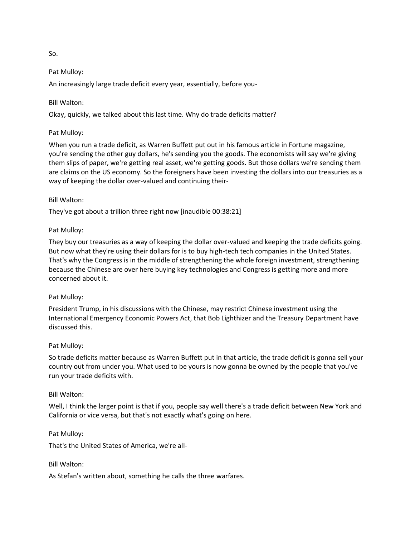So.

#### Pat Mulloy:

An increasingly large trade deficit every year, essentially, before you-

#### Bill Walton:

Okay, quickly, we talked about this last time. Why do trade deficits matter?

#### Pat Mulloy:

When you run a trade deficit, as Warren Buffett put out in his famous article in Fortune magazine, you're sending the other guy dollars, he's sending you the goods. The economists will say we're giving them slips of paper, we're getting real asset, we're getting goods. But those dollars we're sending them are claims on the US economy. So the foreigners have been investing the dollars into our treasuries as a way of keeping the dollar over-valued and continuing their-

#### Bill Walton:

They've got about a trillion three right now [inaudible 00:38:21]

#### Pat Mulloy:

They buy our treasuries as a way of keeping the dollar over-valued and keeping the trade deficits going. But now what they're using their dollars for is to buy high-tech tech companies in the United States. That's why the Congress is in the middle of strengthening the whole foreign investment, strengthening because the Chinese are over here buying key technologies and Congress is getting more and more concerned about it.

#### Pat Mulloy:

President Trump, in his discussions with the Chinese, may restrict Chinese investment using the International Emergency Economic Powers Act, that Bob Lighthizer and the Treasury Department have discussed this.

#### Pat Mulloy:

So trade deficits matter because as Warren Buffett put in that article, the trade deficit is gonna sell your country out from under you. What used to be yours is now gonna be owned by the people that you've run your trade deficits with.

#### Bill Walton:

Well, I think the larger point is that if you, people say well there's a trade deficit between New York and California or vice versa, but that's not exactly what's going on here.

# Pat Mulloy:

That's the United States of America, we're all-

# Bill Walton:

As Stefan's written about, something he calls the three warfares.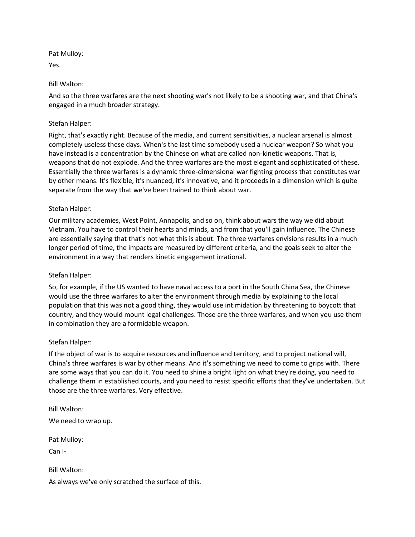Pat Mulloy:

Yes.

# Bill Walton:

And so the three warfares are the next shooting war's not likely to be a shooting war, and that China's engaged in a much broader strategy.

# Stefan Halper:

Right, that's exactly right. Because of the media, and current sensitivities, a nuclear arsenal is almost completely useless these days. When's the last time somebody used a nuclear weapon? So what you have instead is a concentration by the Chinese on what are called non-kinetic weapons. That is, weapons that do not explode. And the three warfares are the most elegant and sophisticated of these. Essentially the three warfares is a dynamic three-dimensional war fighting process that constitutes war by other means. It's flexible, it's nuanced, it's innovative, and it proceeds in a dimension which is quite separate from the way that we've been trained to think about war.

# Stefan Halper:

Our military academies, West Point, Annapolis, and so on, think about wars the way we did about Vietnam. You have to control their hearts and minds, and from that you'll gain influence. The Chinese are essentially saying that that's not what this is about. The three warfares envisions results in a much longer period of time, the impacts are measured by different criteria, and the goals seek to alter the environment in a way that renders kinetic engagement irrational.

# Stefan Halper:

So, for example, if the US wanted to have naval access to a port in the South China Sea, the Chinese would use the three warfares to alter the environment through media by explaining to the local population that this was not a good thing, they would use intimidation by threatening to boycott that country, and they would mount legal challenges. Those are the three warfares, and when you use them in combination they are a formidable weapon.

# Stefan Halper:

If the object of war is to acquire resources and influence and territory, and to project national will, China's three warfares is war by other means. And it's something we need to come to grips with. There are some ways that you can do it. You need to shine a bright light on what they're doing, you need to challenge them in established courts, and you need to resist specific efforts that they've undertaken. But those are the three warfares. Very effective.

Bill Walton:

We need to wrap up.

Pat Mulloy:

Can I-

Bill Walton:

As always we've only scratched the surface of this.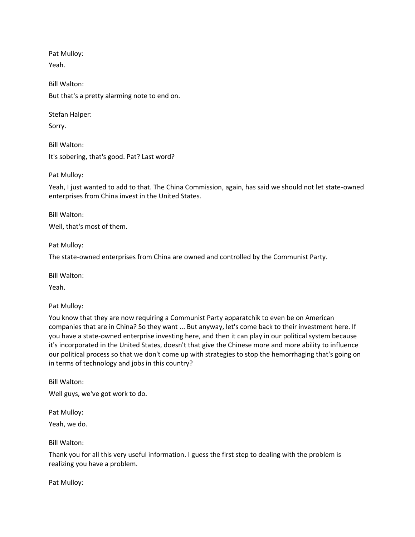Pat Mulloy: Yeah.

Bill Walton: But that's a pretty alarming note to end on.

Stefan Halper:

Sorry.

Bill Walton: It's sobering, that's good. Pat? Last word?

Pat Mulloy:

Yeah, I just wanted to add to that. The China Commission, again, has said we should not let state-owned enterprises from China invest in the United States.

Bill Walton:

Well, that's most of them.

Pat Mulloy:

The state-owned enterprises from China are owned and controlled by the Communist Party.

Bill Walton:

Yeah.

Pat Mulloy:

You know that they are now requiring a Communist Party apparatchik to even be on American companies that are in China? So they want ... But anyway, let's come back to their investment here. If you have a state-owned enterprise investing here, and then it can play in our political system because it's incorporated in the United States, doesn't that give the Chinese more and more ability to influence our political process so that we don't come up with strategies to stop the hemorrhaging that's going on in terms of technology and jobs in this country?

Bill Walton: Well guys, we've got work to do.

Pat Mulloy:

Yeah, we do.

Bill Walton:

Thank you for all this very useful information. I guess the first step to dealing with the problem is realizing you have a problem.

Pat Mulloy: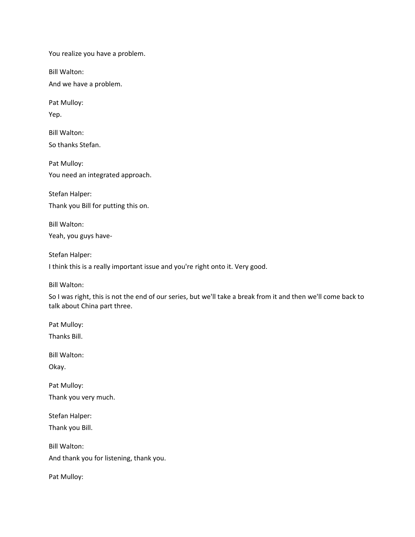You realize you have a problem.

Bill Walton:

And we have a problem.

Pat Mulloy:

Yep.

Bill Walton: So thanks Stefan.

Pat Mulloy: You need an integrated approach.

Stefan Halper: Thank you Bill for putting this on.

Bill Walton: Yeah, you guys have-

Stefan Halper:

I think this is a really important issue and you're right onto it. Very good.

Bill Walton:

So I was right, this is not the end of our series, but we'll take a break from it and then we'll come back to talk about China part three.

Pat Mulloy: Thanks Bill.

Bill Walton:

Okay.

Pat Mulloy: Thank you very much.

Stefan Halper: Thank you Bill.

Bill Walton: And thank you for listening, thank you.

Pat Mulloy: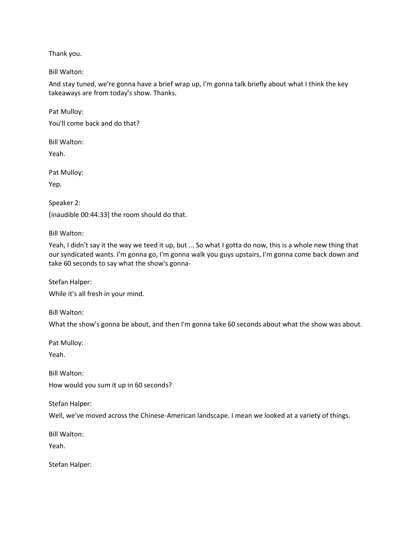Thank you.

Bill Walton:

And stay tuned, we're gonna have a brief wrap up, I'm gonna talk briefly about what I think the key takeaways are from today's show. Thanks.

Pat Mulloy:

You'll come back and do that?

Bill Walton:

Yeah.

Pat Mulloy:

Yep.

Speaker 2: [inaudible 00:44:33] the room should do that.

Bill Walton:

Yeah, I didn't say it the way we teed it up, but ... So what I gotta do now, this is a whole new thing that our syndicated wants. I'm gonna go, I'm gonna walk you guys upstairs, I'm gonna come back down and take 60 seconds to say what the show's gonna-

Stefan Halper:

While it's all fresh in your mind.

Bill Walton:

What the show's gonna be about, and then I'm gonna take 60 seconds about what the show was about.

Pat Mulloy:

Yeah.

Bill Walton: How would you sum it up in 60 seconds?

Stefan Halper:

Well, we've moved across the Chinese-American landscape. I mean we looked at a variety of things.

Bill Walton:

Yeah.

Stefan Halper: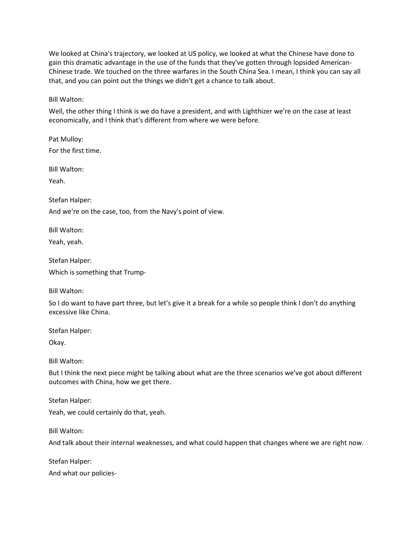We looked at China's trajectory, we looked at US policy, we looked at what the Chinese have done to gain this dramatic advantage in the use of the funds that they've gotten through lopsided American-Chinese trade. We touched on the three warfares in the South China Sea. I mean, I think you can say all that, and you can point out the things we didn't get a chance to talk about.

Bill Walton:

Well, the other thing I think is we do have a president, and with Lighthizer we're on the case at least economically, and I think that's different from where we were before.

Pat Mulloy: For the first time.

Bill Walton:

Yeah.

Stefan Halper:

And we're on the case, too, from the Navy's point of view.

Bill Walton:

Yeah, yeah.

Stefan Halper: Which is something that Trump-

Bill Walton:

So I do want to have part three, but let's give it a break for a while so people think I don't do anything excessive like China.

Stefan Halper:

Okay.

Bill Walton:

But I think the next piece might be talking about what are the three scenarios we've got about different outcomes with China, how we get there.

Stefan Halper:

Yeah, we could certainly do that, yeah.

Bill Walton:

And talk about their internal weaknesses, and what could happen that changes where we are right now.

Stefan Halper:

And what our policies-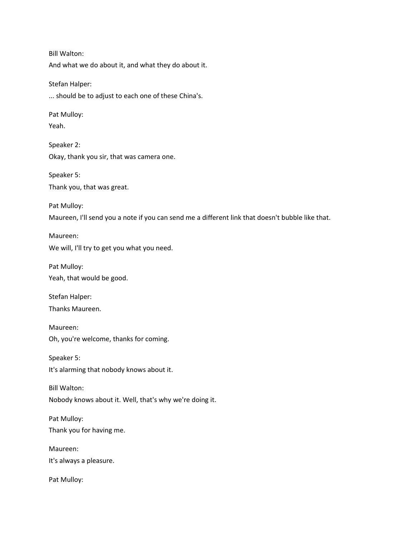Bill Walton: And what we do about it, and what they do about it. Stefan Halper: ... should be to adjust to each one of these China's. Pat Mulloy: Yeah. Speaker 2: Okay, thank you sir, that was camera one. Speaker 5: Thank you, that was great. Pat Mulloy: Maureen, I'll send you a note if you can send me a different link that doesn't bubble like that. Maureen: We will, I'll try to get you what you need. Pat Mulloy: Yeah, that would be good. Stefan Halper: Thanks Maureen. Maureen: Oh, you're welcome, thanks for coming. Speaker 5: It's alarming that nobody knows about it. Bill Walton: Nobody knows about it. Well, that's why we're doing it. Pat Mulloy: Thank you for having me. Maureen: It's always a pleasure. Pat Mulloy: